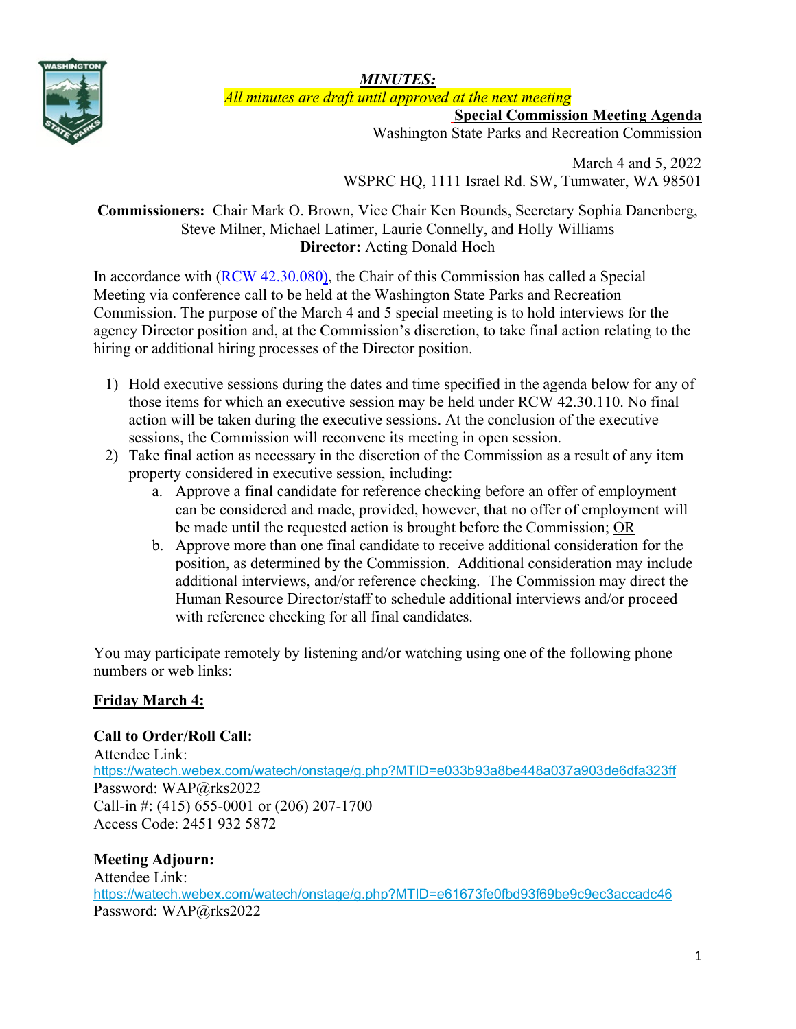

*MINUTES:*

*All minutes are draft until approved at the next meeting*

**Special Commission Meeting Agenda**

Washington State Parks and Recreation Commission

March 4 and 5, 2022 WSPRC HQ, 1111 Israel Rd. SW, Tumwater, WA 98501

## **Commissioners:** Chair Mark O. Brown, Vice Chair Ken Bounds, Secretary Sophia Danenberg, Steve Milner, Michael Latimer, Laurie Connelly, and Holly Williams **Director:** Acting Donald Hoch

In accordance with [\(RCW 42.30.080\)](https://gcc02.safelinks.protection.outlook.com/?url=http%3A%2F%2Fapp.leg.wa.gov%2FRCW%2Fdefault.aspx%3Fcite%3D42.30.080&data=04%7C01%7CBecki.Ellison%40parks.wa.gov%7C9d0a10a54cda45f96e1a08d8a37f32d5%7C11d0e217264e400a8ba057dcc127d72d%7C0%7C0%7C637439113993792876%7CUnknown%7CTWFpbGZsb3d8eyJWIjoiMC4wLjAwMDAiLCJQIjoiV2luMzIiLCJBTiI6Ik1haWwiLCJXVCI6Mn0%3D%7C1000&sdata=dvFG7wtQixDX%2BxAzXhZJkkn%2Bo1RvVDrbL8ymhX5GnQg%3D&reserved=0), the Chair of this Commission has called a Special Meeting via conference call to be held at the Washington State Parks and Recreation Commission. The purpose of the March 4 and 5 special meeting is to hold interviews for the agency Director position and, at the Commission's discretion, to take final action relating to the hiring or additional hiring processes of the Director position.

- 1) Hold executive sessions during the dates and time specified in the agenda below for any of those items for which an executive session may be held under RCW 42.30.110. No final action will be taken during the executive sessions. At the conclusion of the executive sessions, the Commission will reconvene its meeting in open session.
- 2) Take final action as necessary in the discretion of the Commission as a result of any item property considered in executive session, including:
	- a. Approve a final candidate for reference checking before an offer of employment can be considered and made, provided, however, that no offer of employment will be made until the requested action is brought before the Commission; OR
	- b. Approve more than one final candidate to receive additional consideration for the position, as determined by the Commission. Additional consideration may include additional interviews, and/or reference checking. The Commission may direct the Human Resource Director/staff to schedule additional interviews and/or proceed with reference checking for all final candidates.

You may participate remotely by listening and/or watching using one of the following phone numbers or web links:

# **Friday March 4:**

## **Call to Order/Roll Call:**

Attendee Link: <https://watech.webex.com/watech/onstage/g.php?MTID=e033b93a8be448a037a903de6dfa323ff> Password: WAP@rks2022 Call-in #: (415) 655-0001 or (206) 207-1700 Access Code: 2451 932 5872

## **Meeting Adjourn:**

Attendee Link: <https://watech.webex.com/watech/onstage/g.php?MTID=e61673fe0fbd93f69be9c9ec3accadc46> Password: WAP@rks2022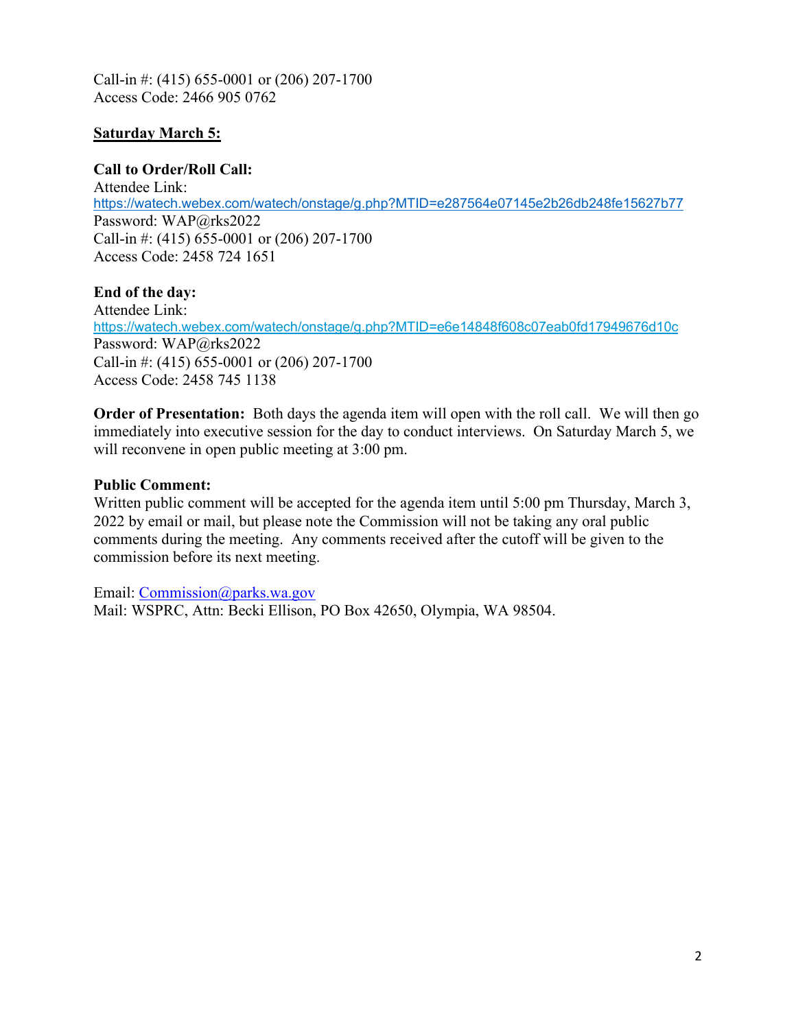Call-in #: (415) 655-0001 or (206) 207-1700 Access Code: 2466 905 0762

## **Saturday March 5:**

#### **Call to Order/Roll Call:**

Attendee Link[:](https://watech.webex.com/watech/onstage/g.php?MTID=e287564e07145e2b26db248fe15627b77) <https://watech.webex.com/watech/onstage/g.php?MTID=e287564e07145e2b26db248fe15627b77> Password: WAP@rks2022 Call-in #: (415) 655-0001 or (206) 207-1700 Access Code: 2458 724 1651

## **End of the day:**

Attendee Link: <https://watech.webex.com/watech/onstage/g.php?MTID=e6e14848f608c07eab0fd17949676d10c> Password: WAP@rks2022 Call-in #: (415) 655-0001 or (206) 207-1700 Access Code: 2458 745 1138

**Order of Presentation:** Both days the agenda item will open with the roll call. We will then go immediately into executive session for the day to conduct interviews. On Saturday March 5, we will reconvene in open public meeting at 3:00 pm.

#### **Public Comment:**

Written public comment will be accepted for the agenda item until 5:00 pm Thursday, March 3, 2022 by email or mail, but please note the Commission will not be taking any oral public comments during the meeting. Any comments received after the cutoff will be given to the commission before its next meeting.

Email: [Commission@parks.wa.gov](mailto:Commission@parks.wa.gov)  Mail: WSPRC, Attn: Becki Ellison, PO Box 42650, Olympia, WA 98504.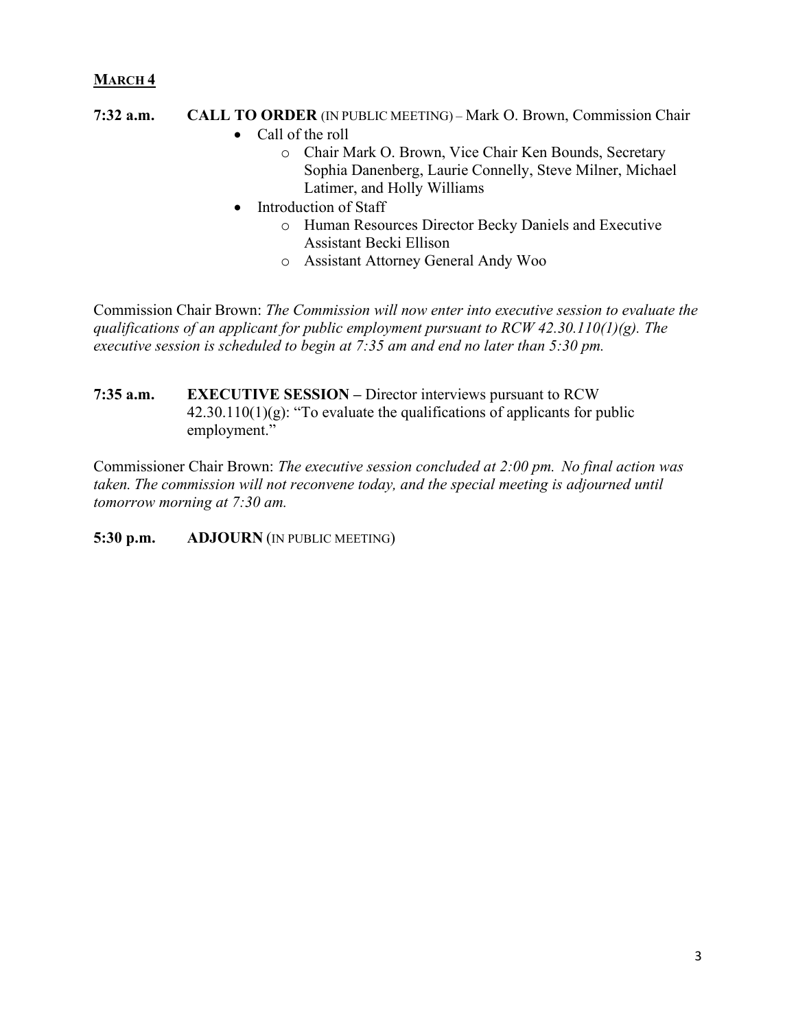#### **MARCH 4**

- **7:32 a.m. CALL TO ORDER** (IN PUBLIC MEETING) Mark O. Brown, Commission Chair
	- Call of the roll
		- o Chair Mark O. Brown, Vice Chair Ken Bounds, Secretary Sophia Danenberg, Laurie Connelly, Steve Milner, Michael Latimer, and Holly Williams
	- Introduction of Staff
		- o Human Resources Director Becky Daniels and Executive Assistant Becki Ellison
		- o Assistant Attorney General Andy Woo

Commission Chair Brown: *The Commission will now enter into executive session to evaluate the qualifications of an applicant for public employment pursuant to RCW 42.30.110(1)(g). The executive session is scheduled to begin at 7:35 am and end no later than 5:30 pm.* 

**7:35 a.m. EXECUTIVE SESSION –** Director interviews pursuant to RCW  $42.30.110(1)(g)$ : "To evaluate the qualifications of applicants for public employment."

Commissioner Chair Brown: *The executive session concluded at 2:00 pm. No final action was taken. The commission will not reconvene today, and the special meeting is adjourned until tomorrow morning at 7:30 am.*

**5:30 p.m. ADJOURN** (IN PUBLIC MEETING)